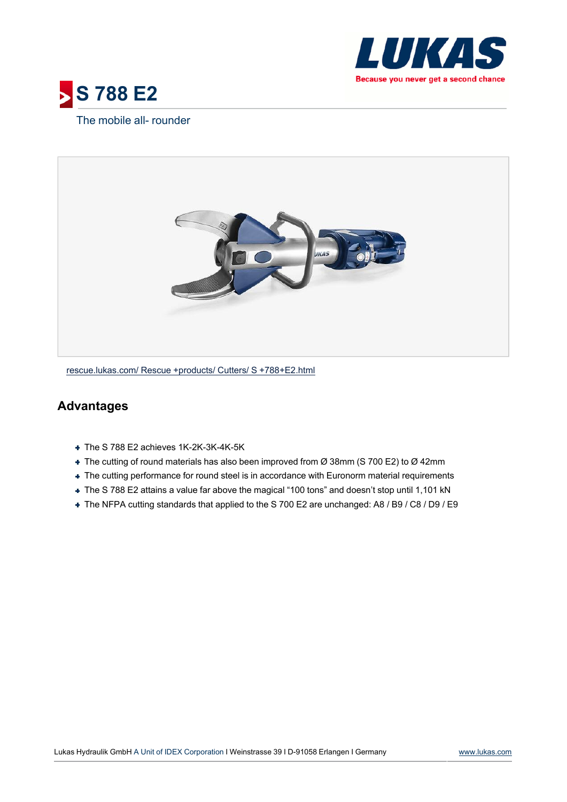



## The mobile all- rounder



[rescue.lukas.com/](http://rescue.lukas.com/Rescue+products/Cutters/S+788+E2.html) [Rescue](http://rescue.lukas.com/Rescue+products/Cutters/S+788+E2.html) [+products/](http://rescue.lukas.com/Rescue+products/Cutters/S+788+E2.html) [Cutters/](http://rescue.lukas.com/Rescue+products/Cutters/S+788+E2.html) [S](http://rescue.lukas.com/Rescue+products/Cutters/S+788+E2.html) [+788+E2.html](http://rescue.lukas.com/Rescue+products/Cutters/S+788+E2.html)

## **Advantages**

- + The S 788 E2 achieves 1K-2K-3K-4K-5K
- The cutting of round materials has also been improved from Ø 38mm (S 700 E2) to Ø 42mm
- The cutting performance for round steel is in accordance with Euronorm material requirements
- The S 788 E2 attains a value far above the magical "100 tons" and doesn't stop until 1,101 kN
- The NFPA cutting standards that applied to the S 700 E2 are unchanged: A8 / B9 / C8 / D9 / E9